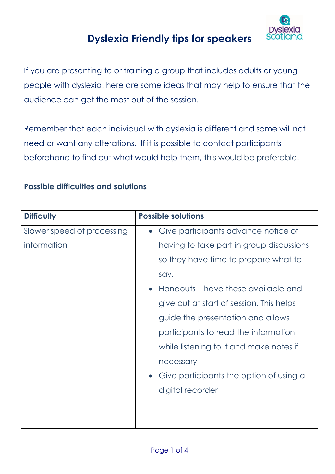

# **Dyslexia Friendly tips for speakers**

If you are presenting to or training a group that includes adults or young people with dyslexia, here are some ideas that may help to ensure that the audience can get the most out of the session.

Remember that each individual with dyslexia is different and some will not need or want any alterations. If it is possible to contact participants beforehand to find out what would help them, this would be preferable.

#### **Possible difficulties and solutions**

| <b>Difficulty</b>          | <b>Possible solutions</b>                            |
|----------------------------|------------------------------------------------------|
| Slower speed of processing | Give participants advance notice of<br>$\bullet$     |
| information                | having to take part in group discussions             |
|                            | so they have time to prepare what to                 |
|                            | say.                                                 |
|                            | Handouts – have these available and<br>$\bullet$     |
|                            | give out at start of session. This helps             |
|                            | guide the presentation and allows                    |
|                            | participants to read the information                 |
|                            | while listening to it and make notes if              |
|                            | necessary                                            |
|                            | Give participants the option of using a<br>$\bullet$ |
|                            | digital recorder                                     |
|                            |                                                      |
|                            |                                                      |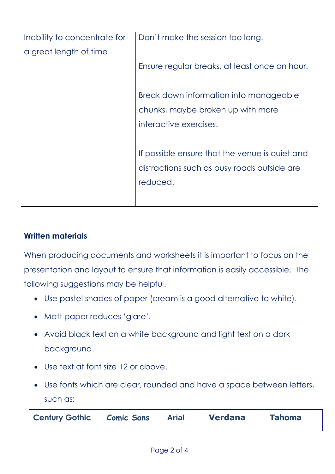| Inability to concentrate for | Don't make the session too long.               |
|------------------------------|------------------------------------------------|
| a great length of time       |                                                |
|                              | Ensure regular breaks, at least once an hour.  |
|                              |                                                |
|                              | Break down information into manageable         |
|                              | chunks, maybe broken up with more              |
|                              | interactive exercises.                         |
|                              |                                                |
|                              | If possible ensure that the venue is quiet and |
|                              | distractions such as busy roads outside are    |
|                              | reduced.                                       |
|                              |                                                |
|                              |                                                |

#### **Written materials**

When producing documents and worksheets it is important to focus on the presentation and layout to ensure that information is easily accessible. The following suggestions may be helpful.

- Use pastel shades of paper (cream is a good alternative to white).
- Matt paper reduces 'glare'.
- Avoid black text on a white background and light text on a dark background.
- Use text at font size 12 or above.
- Use fonts which are clear, rounded and have a space between letters, such as:

| <b>Century Gothic Comic Sans</b> | <b>Arial</b> | <b>Verdana</b> | <b>Tahoma</b> |  |
|----------------------------------|--------------|----------------|---------------|--|
|----------------------------------|--------------|----------------|---------------|--|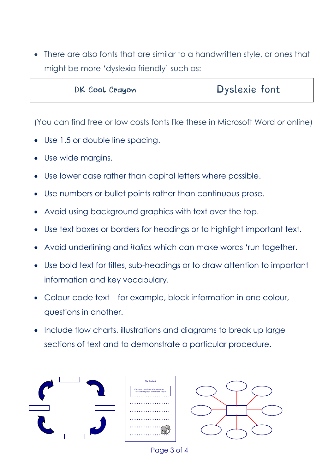There are also fonts that are similar to a handwritten style, or ones that might be more 'dyslexia friendly' such as:

| <b>Dyslexie font</b><br>DK Cool Crayon |
|----------------------------------------|
|----------------------------------------|

(You can find free or low costs fonts like these in Microsoft Word or online)

- Use 1.5 or double line spacing.
- Use wide margins.
- Use lower case rather than capital letters where possible.
- Use numbers or bullet points rather than continuous prose.
- Avoid using background graphics with text over the top.
- Use text boxes or borders for headings or to highlight important text.
- Avoid underlining and *italics* which can make words 'run together.
- Use bold text for titles, sub-headings or to draw attention to important information and key vocabulary.
- Colour-code text for example, block information in one colour, questions in another.
- Include flow charts, illustrations and diagrams to break up large sections of text and to demonstrate a particular procedure**.**



Page 3 of 4